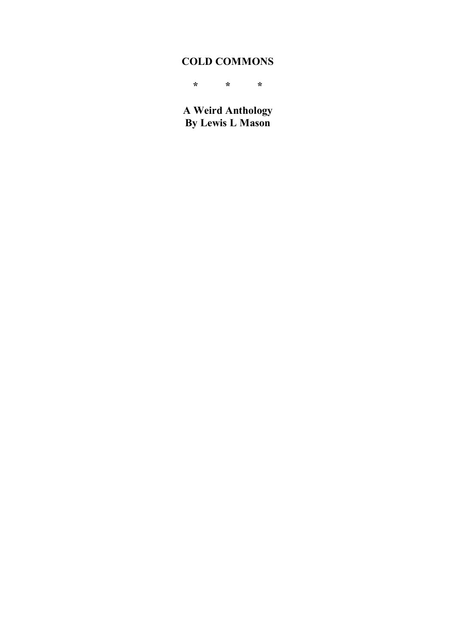# **COLD COMMONS**

**\* \* \***

**A Weird Anthology By Lewis L Mason**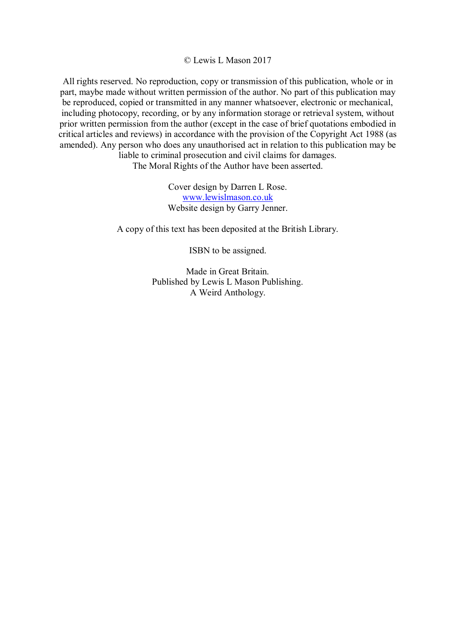© Lewis L Mason 2017

All rights reserved. No reproduction, copy or transmission of this publication, whole or in part, maybe made without written permission of the author. No part of this publication may be reproduced, copied or transmitted in any manner whatsoever, electronic or mechanical, including photocopy, recording, or by any information storage or retrieval system, without prior written permission from the author (except in the case of brief quotations embodied in critical articles and reviews) in accordance with the provision of the Copyright Act 1988 (as amended). Any person who does any unauthorised act in relation to this publication may be liable to criminal prosecution and civil claims for damages.

The Moral Rights of the Author have been asserted.

Cover design by Darren L Rose. www.lewislmason.co.uk Website design by Garry Jenner.

A copy of this text has been deposited at the British Library.

ISBN to be assigned.

Made in Great Britain. Published by Lewis L Mason Publishing. A Weird Anthology.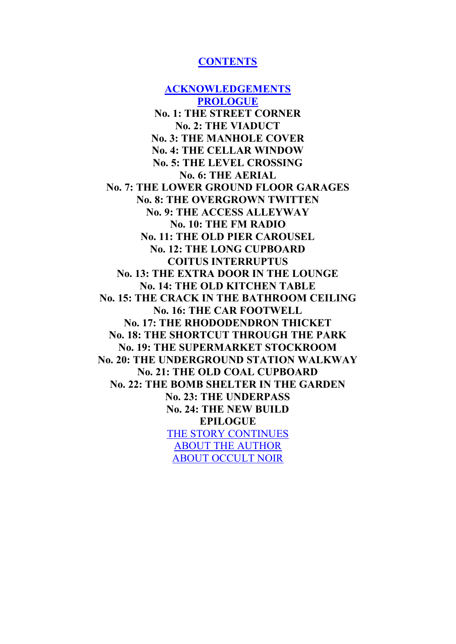### **CONTENTS**

**ACKNOWLEDGEMENTS PROLOGUE No. 1: THE STREET CORNER No. 2: THE VIADUCT No. 3: THE MANHOLE COVER No. 4: THE CELLAR WINDOW No. 5: THE LEVEL CROSSING No. 6: THE AERIAL No. 7: THE LOWER GROUND FLOOR GARAGES No. 8: THE OVERGROWN TWITTEN No. 9: THE ACCESS ALLEYWAY No. 10: THE FM RADIO No. 11: THE OLD PIER CAROUSEL No. 12: THE LONG CUPBOARD COITUS INTERRUPTUS No. 13: THE EXTRA DOOR IN THE LOUNGE No. 14: THE OLD KITCHEN TABLE No. 15: THE CRACK IN THE BATHROOM CEILING No. 16: THE CAR FOOTWELL No. 17: THE RHODODENDRON THICKET No. 18: THE SHORTCUT THROUGH THE PARK No. 19: THE SUPERMARKET STOCKROOM No. 20: THE UNDERGROUND STATION WALKWAY No. 21: THE OLD COAL CUPBOARD No. 22: THE BOMB SHELTER IN THE GARDEN No. 23: THE UNDERPASS No. 24: THE NEW BUILD EPILOGUE** THE STORY CONTINUES ABOUT THE AUTHOR ABOUT OCCULT NOIR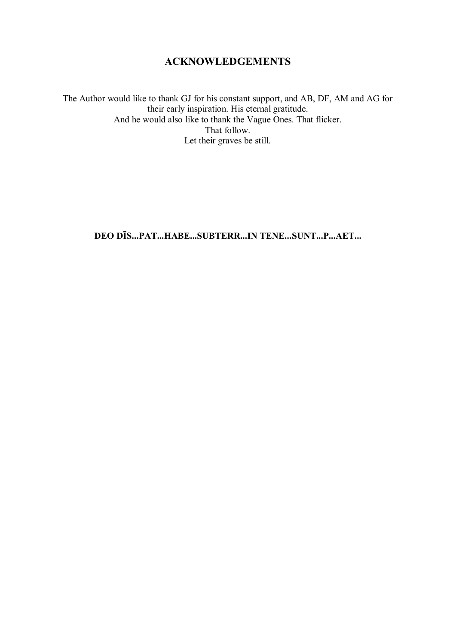## **ACKNOWLEDGEMENTS**

The Author would like to thank GJ for his constant support, and AB, DF, AM and AG for their early inspiration. His eternal gratitude. And he would also like to thank the Vague Ones. That flicker. That follow. Let their graves be still.

**DEO DĪS...PAT...HABE...SUBTERR...IN TENE...SUNT...P...AET...**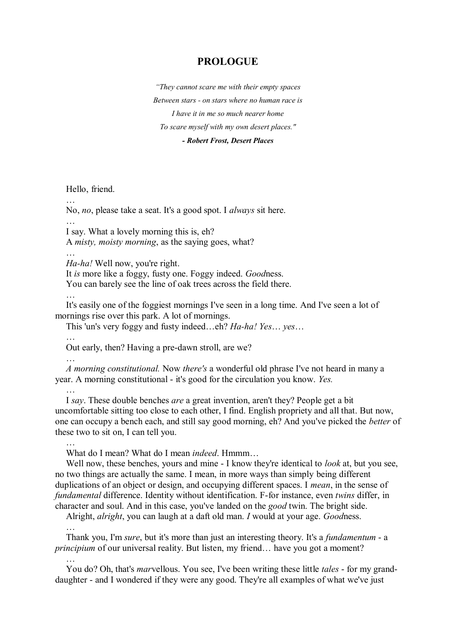### **PROLOGUE**

*"They cannot scare me with their empty spaces Between stars - on stars where no human race is I have it in me so much nearer home To scare myself with my own desert places." - Robert Frost, Desert Places*

Hello, friend.

No, *no*, please take a seat. It's a good spot. I *always* sit here.

…

…

I say. What a lovely morning this is, eh? A *misty, moisty morning*, as the saying goes, what?

*Ha-ha!* Well now, you're right.

It *is* more like a foggy, fusty one. Foggy indeed. *Good*ness.

You can barely see the line of oak trees across the field there.

…

It's easily one of the foggiest mornings I've seen in a long time. And I've seen a lot of mornings rise over this park. A lot of mornings.

This 'un's very foggy and fusty indeed…eh? *Ha-ha! Yes*… *yes*…

…

Out early, then? Having a pre-dawn stroll, are we?

…

*A morning constitutional.* Now *there's* a wonderful old phrase I've not heard in many a year. A morning constitutional - it's good for the circulation you know. *Yes.*

…

I *say*. These double benches *are* a great invention, aren't they? People get a bit uncomfortable sitting too close to each other, I find. English propriety and all that. But now, one can occupy a bench each, and still say good morning, eh? And you've picked the *better* of these two to sit on, I can tell you.

…

What do I mean? What do I mean *indeed*. Hmmm…

Well now, these benches, yours and mine - I know they're identical to *look* at, but you see, no two things are actually the same. I mean, in more ways than simply being different duplications of an object or design, and occupying different spaces. I *mean*, in the sense of *fundamental* difference. Identity without identification. F-for instance, even *twins* differ, in character and soul. And in this case, you've landed on the *good* twin. The bright side.

Alright, *alright*, you can laugh at a daft old man. *I* would at your age. *Good*ness.

…

Thank you, I'm *sure*, but it's more than just an interesting theory. It's a *fundamentum* - a *principium* of our universal reality. But listen, my friend... have you got a moment? …

You do? Oh, that's *mar*vellous. You see, I've been writing these little *tales* - for my granddaughter - and I wondered if they were any good. They're all examples of what we've just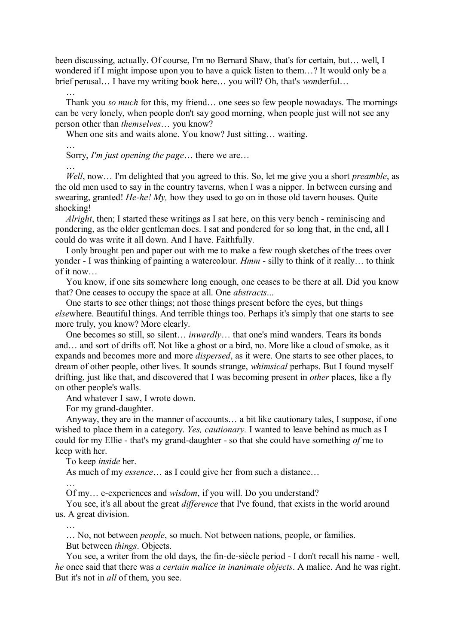been discussing, actually. Of course, I'm no Bernard Shaw, that's for certain, but… well, I wondered if I might impose upon you to have a quick listen to them…? It would only be a brief perusal… I have my writing book here… you will? Oh, that's *won*derful…

## …

…

…

Thank you *so much* for this, my friend… one sees so few people nowadays. The mornings can be very lonely, when people don't say good morning, when people just will not see any person other than *themselves*… you know?

When one sits and waits alone. You know? Just sitting... waiting.

Sorry, *I'm just opening the page*… there we are…

*Well*, now… I'm delighted that you agreed to this. So, let me give you a short *preamble*, as the old men used to say in the country taverns, when I was a nipper. In between cursing and swearing, granted! *He-he! My,* how they used to go on in those old tavern houses. Quite shocking!

*Alright*, then; I started these writings as I sat here, on this very bench - reminiscing and pondering, as the older gentleman does. I sat and pondered for so long that, in the end, all I could do was write it all down. And I have. Faithfully.

I only brought pen and paper out with me to make a few rough sketches of the trees over yonder - I was thinking of painting a watercolour. *Hmm* - silly to think of it really… to think of it now…

You know, if one sits somewhere long enough, one ceases to be there at all. Did you know that? One ceases to occupy the space at all. One *abstracts*...

One starts to see other things; not those things present before the eyes, but things *else*where. Beautiful things. And terrible things too. Perhaps it's simply that one starts to see more truly, you know? More clearly.

One becomes so still, so silent… *inwardly*… that one's mind wanders. Tears its bonds and… and sort of drifts off. Not like a ghost or a bird, no. More like a cloud of smoke, as it expands and becomes more and more *dispersed*, as it were. One starts to see other places, to dream of other people, other lives. It sounds strange, *whimsical* perhaps. But I found myself drifting, just like that, and discovered that I was becoming present in *other* places, like a fly on other people's walls.

And whatever I saw, I wrote down.

For my grand-daughter.

Anyway, they are in the manner of accounts… a bit like cautionary tales, I suppose, if one wished to place them in a category. *Yes, cautionary.* I wanted to leave behind as much as I could for my Ellie - that's my grand-daughter - so that she could have something *of* me to keep with her.

To keep *inside* her.

As much of my *essence*… as I could give her from such a distance…

…

Of my… e-experiences and *wisdom*, if you will. Do you understand?

You see, it's all about the great *difference* that I've found, that exists in the world around us. A great division.

…

… No, not between *people*, so much. Not between nations, people, or families. But between *things*. Objects.

You see, a writer from the old days, the fin-de-siècle period - I don't recall his name - well, *he* once said that there was *a certain malice in inanimate objects*. A malice. And he was right. But it's not in *all* of them, you see.